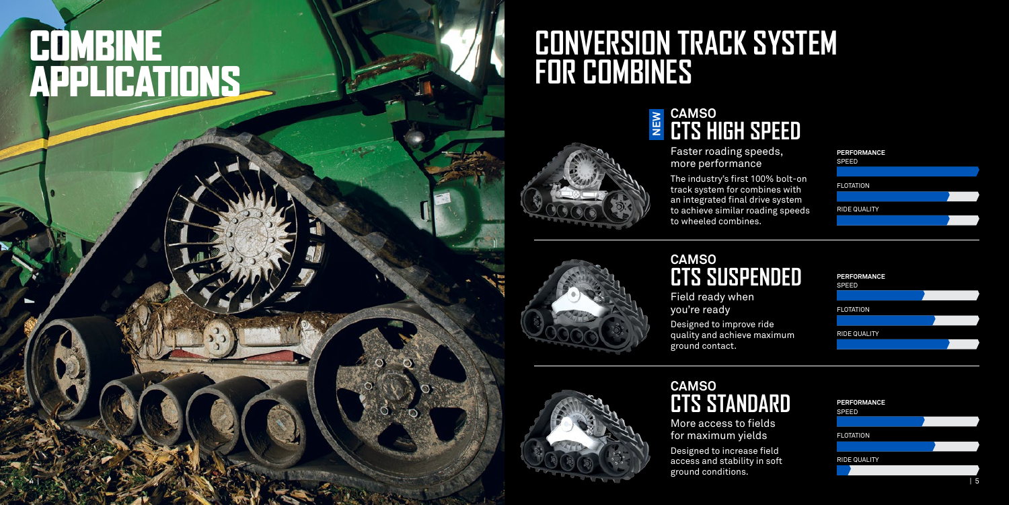# **CONVERSION TRACK SYSTEM**



# **FOMBINE**<br>APPLICATIONS APPLICATIONS

Faster roading speeds, more performance

The industry's first 100% bolt-on track system for combines with an integrated final drive system to achieve similar roading speeds to wheeled combines.



| <b>PERFORMANCE</b><br><b>SPEED</b> |  |
|------------------------------------|--|
|                                    |  |
| <b>FLOTATION</b>                   |  |
|                                    |  |
| <b>RIDE QUALITY</b>                |  |
|                                    |  |
|                                    |  |

Field ready when you're ready

Designed to improve ride quality and achieve maximum ground contact.



## **CAMSO CTS SUSPENDED**

#### **CAMSO CTS HIGH SPEED NEW**

More access to fields for maximum yields Designed to increase field access and stability in soft ground conditions.



# **CAMSO CTS STANDARD**